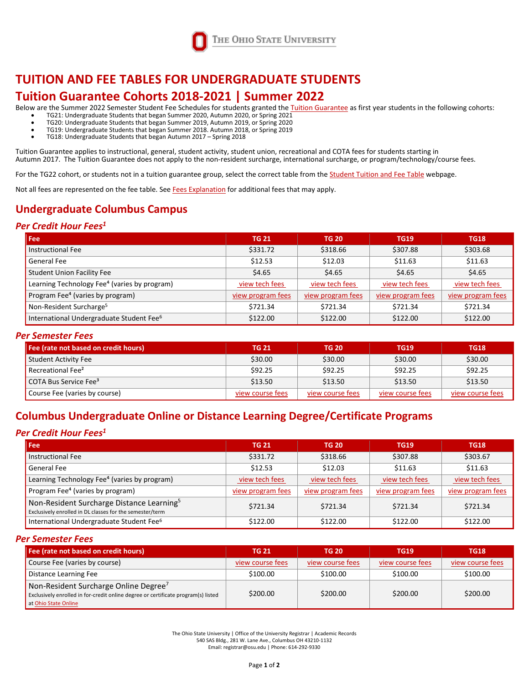

# **TUITION AND FEE TABLES FOR UNDERGRADUATE STUDENTS**

# **Tuition Guarantee Cohorts 2018-2021 | Summer 2022**

Below are the Summer 2022 Semester Student Fee Schedules for students granted th[e Tuition Guarantee](https://registrar.osu.edu/tuitionguarantee/index.html) as first year students in the following cohorts:<br>• TG21: Undergraduate Students that began Summer 2020, Autumn 2020, or Sp

- TG21: Undergraduate Students that began Summer 2020, Autumn 2020, or Spring 2021<br>TG20: Undergraduate Students that began Summer 2020, Autumn 2020, or Spring 2020<br>TG20: Undergraduate Students that began Summer 2019, Autum
- 
- TG19: Undergraduate Students that began Summer 2018. Autumn 2018, or Spring 2019<br>• TG18: Undergraduate Students that began Autumn 2017 Spring 2018
- TG18: Undergraduate Students that began Autumn 2017 Spring 2018

Tuition Guarantee applies to instructional, general, student activity, student union, recreational and COTA fees for students starting in Autumn 2017. The Tuition Guarantee does not apply to the non-resident surcharge, international surcharge, or program/technology/course fees.

For the TG22 cohort, or students not in a tuition guarantee group, select the correct table from the [Student Tuition and Fee Table](https://registrar.osu.edu/FeeTables/MainFeeTables.asp) webpage.

Not all fees are represented on the fee table. See [Fees Explanation](https://registrar.osu.edu/policies/feesExplanation.asp) for additional fees that may apply.

### **Undergraduate Columbus Campus**

### *Per Credit Hour Fees1*

| Fee.                                                     | <b>TG 21</b>      | <b>TG 20</b>      | <b>TG19</b>       | <b>TG18</b>       |
|----------------------------------------------------------|-------------------|-------------------|-------------------|-------------------|
| Instructional Fee                                        | \$331.72          | \$318.66          | \$307.88          | \$303.68          |
| General Fee                                              | \$12.53           | \$12.03           | \$11.63           | \$11.63           |
| <b>Student Union Facility Fee</b>                        | \$4.65            | \$4.65            | \$4.65            | \$4.65            |
| Learning Technology Fee <sup>4</sup> (varies by program) | view tech fees    | view tech fees    | view tech fees    | view tech fees    |
| Program Fee <sup>4</sup> (varies by program)             | view program fees | view program fees | view program fees | view program fees |
| Non-Resident Surcharge <sup>5</sup>                      | \$721.34          | \$721.34          | \$721.34          | \$721.34          |
| International Undergraduate Student Fee <sup>6</sup>     | \$122.00          | \$122.00          | \$122.00          | \$122.00          |

### *Per Semester Fees*

| Fee (rate not based on credit hours) | <b>TG 21</b>     | <b>TG 20</b>     | <b>TG19</b>      | <b>TG18</b>      |
|--------------------------------------|------------------|------------------|------------------|------------------|
| Student Activity Fee                 | \$30.00          | \$30.00          | \$30.00          | \$30.00          |
| Recreational Fee <sup>2</sup>        | \$92.25          | \$92.25          | \$92.25          | \$92.25          |
| COTA Bus Service Fee <sup>3</sup>    | \$13.50          | \$13.50          | \$13.50          | \$13.50          |
| Course Fee (varies by course)        | view course fees | view course fees | view course fees | view course fees |

### **Columbus Undergraduate Online or Distance Learning Degree/Certificate Programs**

### *Per Credit Hour Fees1*

| Fee                                                                                                               | <b>TG 21</b>      | <b>TG 20</b>      | <b>TG19</b>       | <b>TG18</b>       |
|-------------------------------------------------------------------------------------------------------------------|-------------------|-------------------|-------------------|-------------------|
| <b>Instructional Fee</b>                                                                                          | \$331.72          | \$318.66          | \$307.88          | \$303.67          |
| General Fee                                                                                                       | \$12.53           | \$12.03           | \$11.63           | \$11.63           |
| Learning Technology Fee <sup>4</sup> (varies by program)                                                          | view tech fees    | view tech fees    | view tech fees    | view tech fees    |
| Program Fee <sup>4</sup> (varies by program)                                                                      | view program fees | view program fees | view program fees | view program fees |
| Non-Resident Surcharge Distance Learning <sup>5</sup><br>Exclusively enrolled in DL classes for the semester/term | \$721.34          | \$721.34          | \$721.34          | \$721.34          |
| International Undergraduate Student Fee <sup>6</sup>                                                              | \$122.00          | \$122.00          | \$122.00          | \$122.00          |

#### *Per Semester Fees*

| Fee (rate not based on credit hours)                                                                                                                           | <b>TG 21</b>     | <b>TG 20</b>     | <b>TG19</b>      | <b>TG18</b>      |
|----------------------------------------------------------------------------------------------------------------------------------------------------------------|------------------|------------------|------------------|------------------|
| Course Fee (varies by course)                                                                                                                                  | view course fees | view course fees | view course fees | view course fees |
| Distance Learning Fee                                                                                                                                          | \$100.00         | \$100.00         | \$100.00         | \$100.00         |
| Non-Resident Surcharge Online Degree <sup>7</sup><br>Exclusively enrolled in for-credit online degree or certificate program(s) listed<br>at Ohio State Online | \$200.00         | \$200.00         | \$200.00         | \$200.00         |